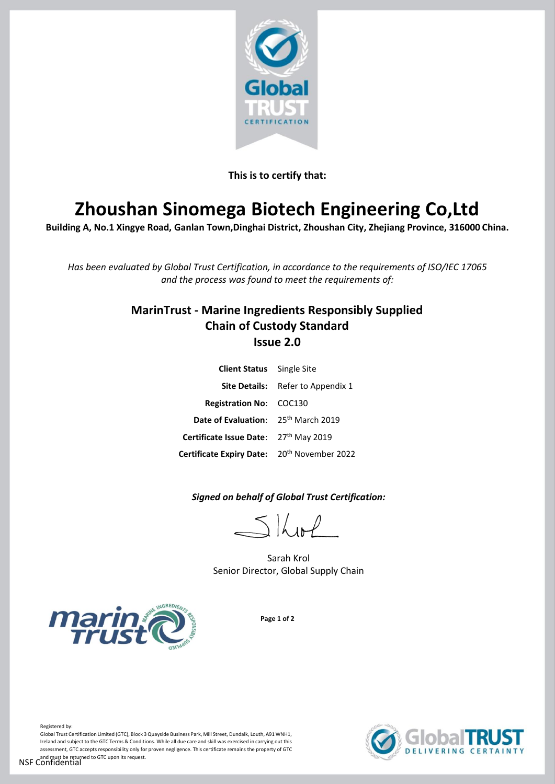

**This is to certify that:**

# **Zhoushan Sinomega Biotech Engineering Co,Ltd**

**Building A, No.1 Xingye Road, Ganlan Town,Dinghai District, Zhoushan City, Zhejiang Province, 316000 China.** 

*Has been evaluated by Global Trust Certification, in accordance to the requirements of ISO/IEC 17065 and the process was found to meet the requirements of:*

# **MarinTrust - Marine Ingredients Responsibly Supplied Chain of Custody Standard Issue 2.0**

| <b>Client Status</b> Single Site                        |                                          |
|---------------------------------------------------------|------------------------------------------|
|                                                         | <b>Site Details:</b> Refer to Appendix 1 |
| <b>Registration No: COC130</b>                          |                                          |
| Date of Evaluation: 25th March 2019                     |                                          |
| Certificate Issue Date: 27th May 2019                   |                                          |
| Certificate Expiry Date: 20 <sup>th</sup> November 2022 |                                          |

*Signed on behalf of Global Trust Certification:*

 $5$  kpl

Sarah Krol Senior Director, Global Supply Chain



**Page 1 of 2**



Global Trust Certification Limited (GTC), Block 3 Quayside Business Park, Mill Street, Dundalk, Louth, A91 WNH1, Ireland and subject to the GTC Terms & Conditions. While all due care and skill was exercised in carrying out this assessment, GTC accepts responsibility only for proven negligence. This certificate remains the property of GTC and must be returned to GTC upon its request.